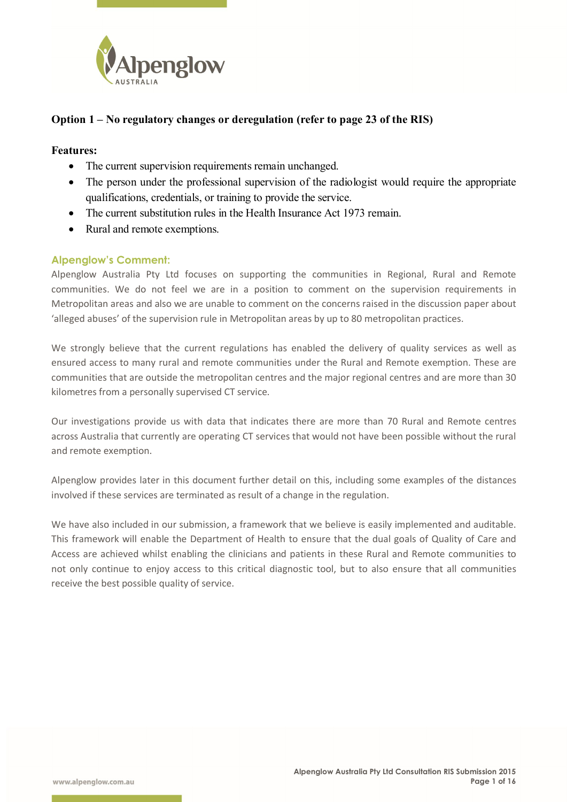

# **Option 1 – No regulatory changes or deregulation (refer to page 23 of the RIS)**

#### **Features:**

- The current supervision requirements remain unchanged.
- The person under the professional supervision of the radiologist would require the appropriate qualifications, credentials, or training to provide the service.
- The current substitution rules in the Health Insurance Act 1973 remain.
- Rural and remote exemptions.

### **Alpenglow's Comment:**

Alpenglow Australia Pty Ltd focuses on supporting the communities in Regional, Rural and Remote communities. We do not feel we are in a position to comment on the supervision requirements in Metropolitan areas and also we are unable to comment on the concerns raised in the discussion paper about 'alleged abuses' of the supervision rule in Metropolitan areas by up to 80 metropolitan practices.

We strongly believe that the current regulations has enabled the delivery of quality services as well as ensured access to many rural and remote communities under the Rural and Remote exemption. These are communities that are outside the metropolitan centres and the major regional centres and are more than 30 kilometres from a personally supervised CT service.

Our investigations provide us with data that indicates there are more than 70 Rural and Remote centres across Australia that currently are operating CT services that would not have been possible without the rural and remote exemption.

Alpenglow provides later in this document further detail on this, including some examples of the distances involved if these services are terminated as result of a change in the regulation.

We have also included in our submission, a framework that we believe is easily implemented and auditable. This framework will enable the Department of Health to ensure that the dual goals of Quality of Care and Access are achieved whilst enabling the clinicians and patients in these Rural and Remote communities to not only continue to enjoy access to this critical diagnostic tool, but to also ensure that all communities receive the best possible quality of service.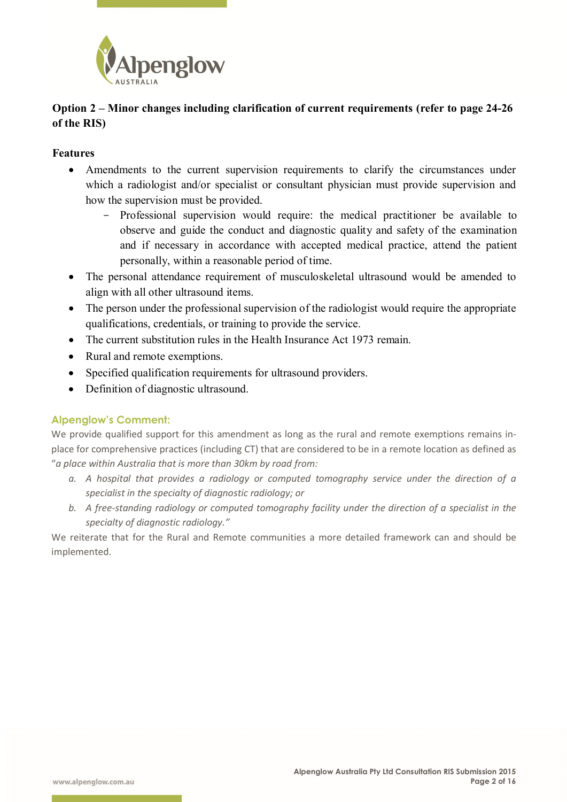

# **Option 2 – Minor changes including clarification of current requirements (refer to page 24-26 of the RIS)**

### **Features**

- Amendments to the current supervision requirements to clarify the circumstances under which a radiologist and/or specialist or consultant physician must provide supervision and how the supervision must be provided.
	- Professional supervision would require: the medical practitioner be available to observe and guide the conduct and diagnostic quality and safety of the examination and if necessary in accordance with accepted medical practice, attend the patient personally, within a reasonable period of time.
- The personal attendance requirement of musculoskeletal ultrasound would be amended to align with all other ultrasound items.
- The person under the professional supervision of the radiologist would require the appropriate qualifications, credentials, or training to provide the service.
- The current substitution rules in the Health Insurance Act 1973 remain.
- Rural and remote exemptions.
- Specified qualification requirements for ultrasound providers.
- Definition of diagnostic ultrasound.

# **Alpenglow's Comment:**

We provide qualified support for this amendment as long as the rural and remote exemptions remains inplace for comprehensive practices (including CT) that are considered to be in a remote location as defined as "*a place within Australia that is more than 30km by road from:* 

- *a. A hospital that provides a radiology or computed tomography service under the direction of a specialist in the specialty of diagnostic radiology; or*
- *b. A free-standing radiology or computed tomography facility under the direction of a specialist in the specialty of diagnostic radiology."*

We reiterate that for the Rural and Remote communities a more detailed framework can and should be implemented.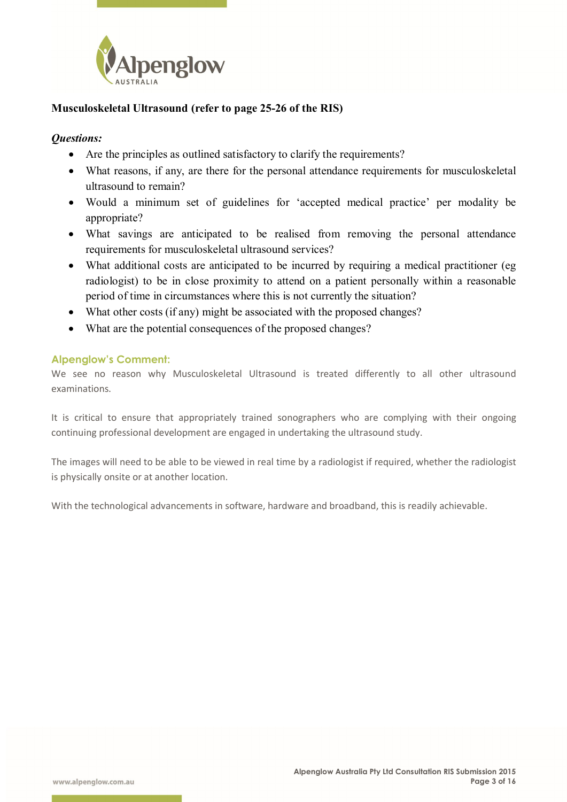

# **Musculoskeletal Ultrasound (refer to page 25-26 of the RIS)**

## *Questions:*

- Are the principles as outlined satisfactory to clarify the requirements?
- What reasons, if any, are there for the personal attendance requirements for musculoskeletal ultrasound to remain?
- Would a minimum set of guidelines for 'accepted medical practice' per modality be appropriate?
- What savings are anticipated to be realised from removing the personal attendance requirements for musculoskeletal ultrasound services?
- What additional costs are anticipated to be incurred by requiring a medical practitioner (eg radiologist) to be in close proximity to attend on a patient personally within a reasonable period of time in circumstances where this is not currently the situation?
- What other costs (if any) might be associated with the proposed changes?
- What are the potential consequences of the proposed changes?

### **Alpenglow's Comment:**

We see no reason why Musculoskeletal Ultrasound is treated differently to all other ultrasound examinations.

It is critical to ensure that appropriately trained sonographers who are complying with their ongoing continuing professional development are engaged in undertaking the ultrasound study.

The images will need to be able to be viewed in real time by a radiologist if required, whether the radiologist is physically onsite or at another location.

With the technological advancements in software, hardware and broadband, this is readily achievable.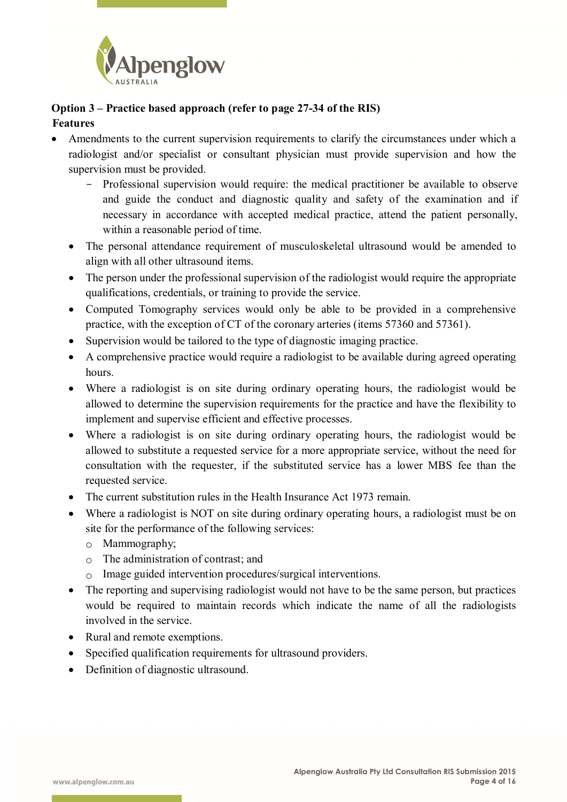

# **Option 3 – Practice based approach (refer to page 27-34 of the RIS) Features**

- Amendments to the current supervision requirements to clarify the circumstances under which a radiologist and/or specialist or consultant physician must provide supervision and how the supervision must be provided.
	- Professional supervision would require: the medical practitioner be available to observe and guide the conduct and diagnostic quality and safety of the examination and if necessary in accordance with accepted medical practice, attend the patient personally, within a reasonable period of time.
	- The personal attendance requirement of musculoskeletal ultrasound would be amended to align with all other ultrasound items.
	- The person under the professional supervision of the radiologist would require the appropriate qualifications, credentials, or training to provide the service.
	- Computed Tomography services would only be able to be provided in a comprehensive practice, with the exception of CT of the coronary arteries (items 57360 and 57361).
	- Supervision would be tailored to the type of diagnostic imaging practice.
	- A comprehensive practice would require a radiologist to be available during agreed operating hours.
	- Where a radiologist is on site during ordinary operating hours, the radiologist would be allowed to determine the supervision requirements for the practice and have the flexibility to implement and supervise efficient and effective processes.
	- Where a radiologist is on site during ordinary operating hours, the radiologist would be allowed to substitute a requested service for a more appropriate service, without the need for consultation with the requester, if the substituted service has a lower MBS fee than the requested service.
	- The current substitution rules in the Health Insurance Act 1973 remain.
	- Where a radiologist is NOT on site during ordinary operating hours, a radiologist must be on site for the performance of the following services:
		- o Mammography;
		- $\circ$  The administration of contrast; and
		- o Image guided intervention procedures/surgical interventions.
	- The reporting and supervising radiologist would not have to be the same person, but practices would be required to maintain records which indicate the name of all the radiologists involved in the service.
	- Rural and remote exemptions.
	- Specified qualification requirements for ultrasound providers.
	- Definition of diagnostic ultrasound.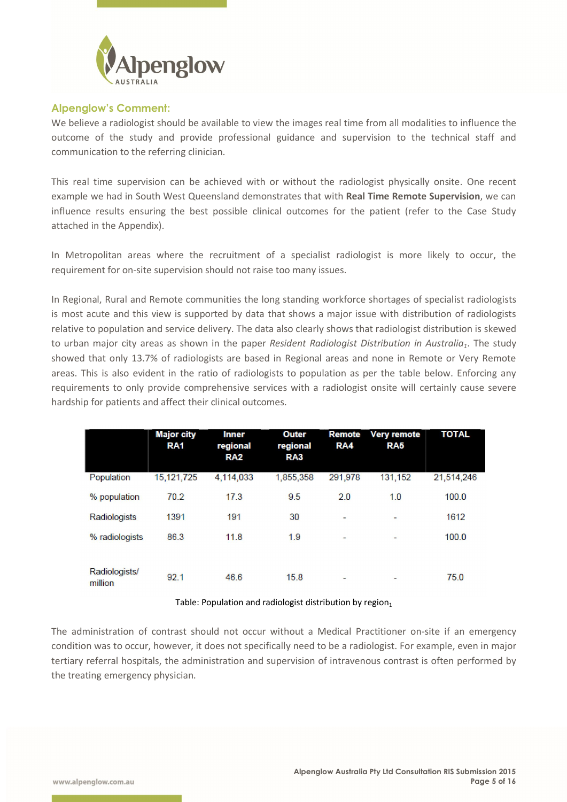

#### **Alpenglow's Comment:**

We believe a radiologist should be available to view the images real time from all modalities to influence the outcome of the study and provide professional guidance and supervision to the technical staff and communication to the referring clinician.

This real time supervision can be achieved with or without the radiologist physically onsite. One recent example we had in South West Queensland demonstrates that with **Real Time Remote Supervision**, we can influence results ensuring the best possible clinical outcomes for the patient (refer to the Case Study attached in the Appendix).

In Metropolitan areas where the recruitment of a specialist radiologist is more likely to occur, the requirement for on-site supervision should not raise too many issues.

In Regional, Rural and Remote communities the long standing workforce shortages of specialist radiologists is most acute and this view is supported by data that shows a major issue with distribution of radiologists relative to population and service delivery. The data also clearly shows that radiologist distribution is skewed to urban major city areas as shown in the paper *Resident Radiologist Distribution in Australia<sub>1</sub>*. The study showed that only 13.7% of radiologists are based in Regional areas and none in Remote or Very Remote areas. This is also evident in the ratio of radiologists to population as per the table below. Enforcing any requirements to only provide comprehensive services with a radiologist onsite will certainly cause severe hardship for patients and affect their clinical outcomes.

|                          | <b>Major city</b><br>RA <sub>1</sub> | <b>Inner</b><br>regional<br>RA <sub>2</sub> | Outer<br>regional<br>RA3 | Remote<br>RA4            | <b>Very remote</b><br>RA5 | <b>TOTAL</b> |
|--------------------------|--------------------------------------|---------------------------------------------|--------------------------|--------------------------|---------------------------|--------------|
| Population               | 15, 121, 725                         | 4,114,033                                   | 1,855,358                | 291.978                  | 131,152                   | 21,514,246   |
| % population             | 70.2                                 | 17.3                                        | 9.5                      | 2.0                      | 1.0                       | 100.0        |
| Radiologists             | 1391                                 | 191                                         | 30                       | -                        | $\sim$                    | 1612         |
| % radiologists           | 86.3                                 | 11.8                                        | 1.9                      | $\overline{\phantom{0}}$ | -                         | 100.0        |
|                          |                                      |                                             |                          |                          |                           |              |
| Radiologists/<br>million | 92.1                                 | 46.6                                        | 15.8                     | -                        | $\overline{\phantom{a}}$  | 75.0         |

#### Table: Population and radiologist distribution by region $_1$

The administration of contrast should not occur without a Medical Practitioner on-site if an emergency condition was to occur, however, it does not specifically need to be a radiologist. For example, even in major tertiary referral hospitals, the administration and supervision of intravenous contrast is often performed by the treating emergency physician.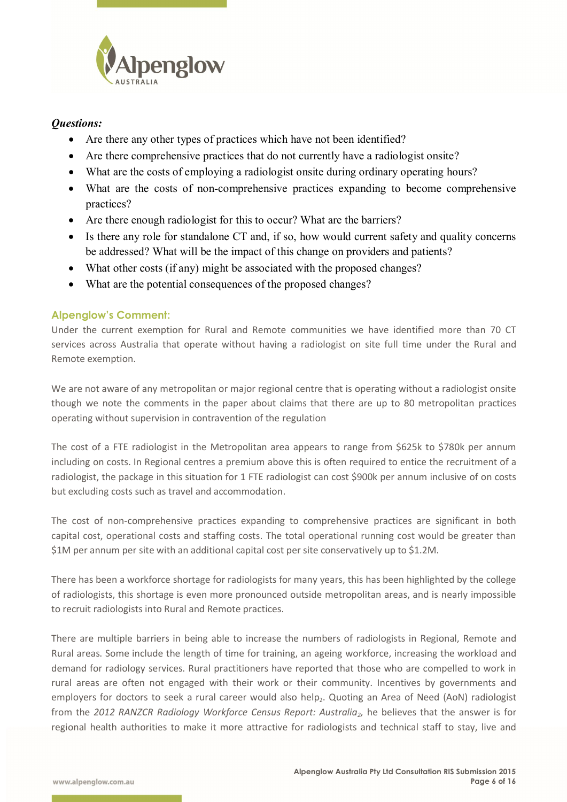

# *Questions:*

- Are there any other types of practices which have not been identified?
- Are there comprehensive practices that do not currently have a radiologist onsite?
- What are the costs of employing a radiologist onsite during ordinary operating hours?
- What are the costs of non-comprehensive practices expanding to become comprehensive practices?
- Are there enough radiologist for this to occur? What are the barriers?
- Is there any role for standalone CT and, if so, how would current safety and quality concerns be addressed? What will be the impact of this change on providers and patients?
- What other costs (if any) might be associated with the proposed changes?
- What are the potential consequences of the proposed changes?

### **Alpenglow's Comment:**

Under the current exemption for Rural and Remote communities we have identified more than 70 CT services across Australia that operate without having a radiologist on site full time under the Rural and Remote exemption.

We are not aware of any metropolitan or major regional centre that is operating without a radiologist onsite though we note the comments in the paper about claims that there are up to 80 metropolitan practices operating without supervision in contravention of the regulation

The cost of a FTE radiologist in the Metropolitan area appears to range from \$625k to \$780k per annum including on costs. In Regional centres a premium above this is often required to entice the recruitment of a radiologist, the package in this situation for 1 FTE radiologist can cost \$900k per annum inclusive of on costs but excluding costs such as travel and accommodation.

The cost of non-comprehensive practices expanding to comprehensive practices are significant in both capital cost, operational costs and staffing costs. The total operational running cost would be greater than \$1M per annum per site with an additional capital cost per site conservatively up to \$1.2M.

There has been a workforce shortage for radiologists for many years, this has been highlighted by the college of radiologists, this shortage is even more pronounced outside metropolitan areas, and is nearly impossible to recruit radiologists into Rural and Remote practices.

There are multiple barriers in being able to increase the numbers of radiologists in Regional, Remote and Rural areas. Some include the length of time for training, an ageing workforce, increasing the workload and demand for radiology services. Rural practitioners have reported that those who are compelled to work in rural areas are often not engaged with their work or their community. Incentives by governments and employers for doctors to seek a rural career would also help<sub>2</sub>. Quoting an Area of Need (AoN) radiologist from the 2012 RANZCR Radiology Workforce Census Report: Australia<sub>2</sub>, he believes that the answer is for regional health authorities to make it more attractive for radiologists and technical staff to stay, live and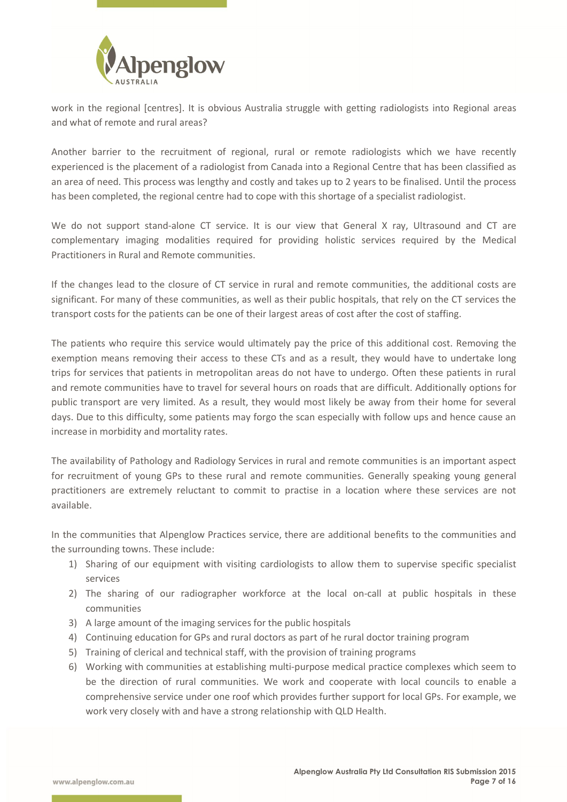

work in the regional [centres]. It is obvious Australia struggle with getting radiologists into Regional areas and what of remote and rural areas?

Another barrier to the recruitment of regional, rural or remote radiologists which we have recently experienced is the placement of a radiologist from Canada into a Regional Centre that has been classified as an area of need. This process was lengthy and costly and takes up to 2 years to be finalised. Until the process has been completed, the regional centre had to cope with this shortage of a specialist radiologist.

We do not support stand-alone CT service. It is our view that General X ray, Ultrasound and CT are complementary imaging modalities required for providing holistic services required by the Medical Practitioners in Rural and Remote communities.

If the changes lead to the closure of CT service in rural and remote communities, the additional costs are significant. For many of these communities, as well as their public hospitals, that rely on the CT services the transport costs for the patients can be one of their largest areas of cost after the cost of staffing.

The patients who require this service would ultimately pay the price of this additional cost. Removing the exemption means removing their access to these CTs and as a result, they would have to undertake long trips for services that patients in metropolitan areas do not have to undergo. Often these patients in rural and remote communities have to travel for several hours on roads that are difficult. Additionally options for public transport are very limited. As a result, they would most likely be away from their home for several days. Due to this difficulty, some patients may forgo the scan especially with follow ups and hence cause an increase in morbidity and mortality rates.

The availability of Pathology and Radiology Services in rural and remote communities is an important aspect for recruitment of young GPs to these rural and remote communities. Generally speaking young general practitioners are extremely reluctant to commit to practise in a location where these services are not available.

In the communities that Alpenglow Practices service, there are additional benefits to the communities and the surrounding towns. These include:

- 1) Sharing of our equipment with visiting cardiologists to allow them to supervise specific specialist services
- 2) The sharing of our radiographer workforce at the local on-call at public hospitals in these communities
- 3) A large amount of the imaging services for the public hospitals
- 4) Continuing education for GPs and rural doctors as part of he rural doctor training program
- 5) Training of clerical and technical staff, with the provision of training programs
- 6) Working with communities at establishing multi-purpose medical practice complexes which seem to be the direction of rural communities. We work and cooperate with local councils to enable a comprehensive service under one roof which provides further support for local GPs. For example, we work very closely with and have a strong relationship with QLD Health.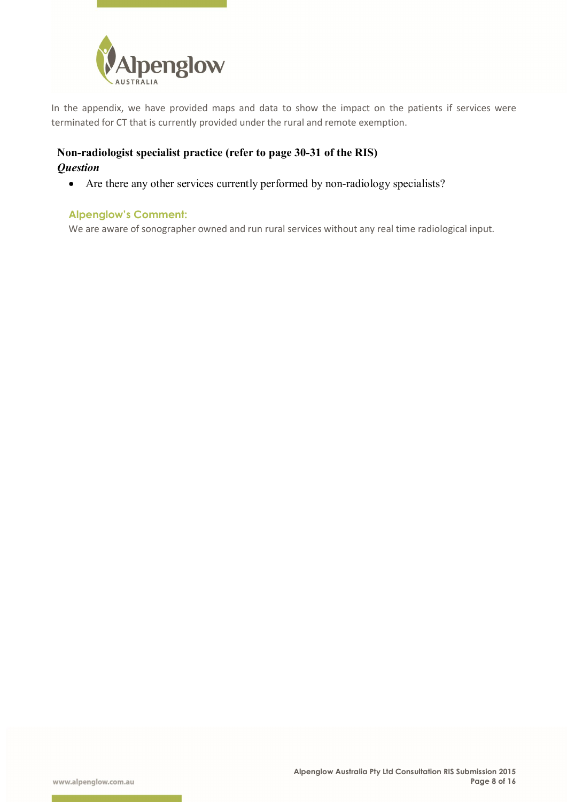

In the appendix, we have provided maps and data to show the impact on the patients if services were terminated for CT that is currently provided under the rural and remote exemption.

# **Non-radiologist specialist practice (refer to page 30-31 of the RIS)** *Question*

Are there any other services currently performed by non-radiology specialists?

### **Alpenglow's Comment:**

We are aware of sonographer owned and run rural services without any real time radiological input.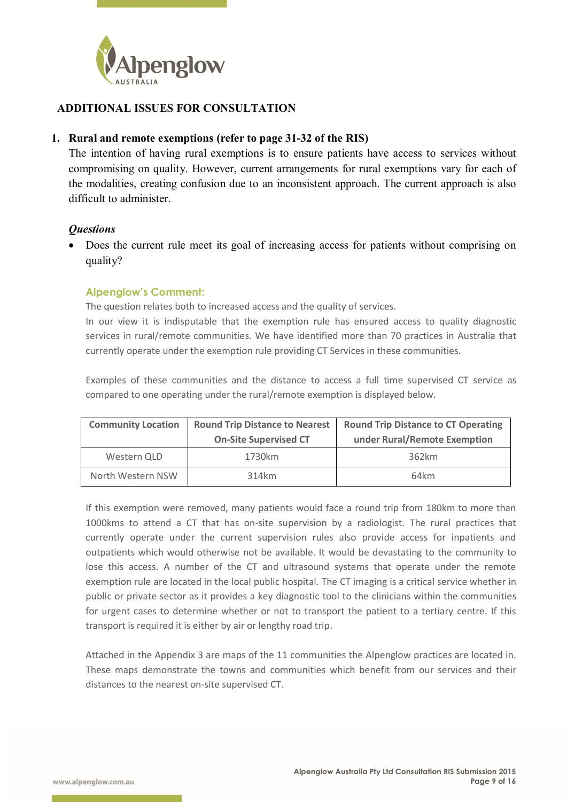

# **ADDITIONAL ISSUES FOR CONSULTATION**

### **1. Rural and remote exemptions (refer to page 31-32 of the RIS)**

The intention of having rural exemptions is to ensure patients have access to services without compromising on quality. However, current arrangements for rural exemptions vary for each of the modalities, creating confusion due to an inconsistent approach. The current approach is also difficult to administer.

### *Questions*

 Does the current rule meet its goal of increasing access for patients without comprising on quality?

### **Alpenglow's Comment:**

The question relates both to increased access and the quality of services.

In our view it is indisputable that the exemption rule has ensured access to quality diagnostic services in rural/remote communities. We have identified more than 70 practices in Australia that currently operate under the exemption rule providing CT Services in these communities.

Examples of these communities and the distance to access a full time supervised CT service as compared to one operating under the rural/remote exemption is displayed below.

| <b>Community Location</b> | <b>Round Trip Distance to Nearest</b><br><b>On-Site Supervised CT</b> | <b>Round Trip Distance to CT Operating</b><br>under Rural/Remote Exemption |
|---------------------------|-----------------------------------------------------------------------|----------------------------------------------------------------------------|
| Western QLD               | 1730km                                                                | 362km                                                                      |
| North Western NSW         | 314km                                                                 | 64km                                                                       |

If this exemption were removed, many patients would face a round trip from 180km to more than 1000kms to attend a CT that has on-site supervision by a radiologist. The rural practices that currently operate under the current supervision rules also provide access for inpatients and outpatients which would otherwise not be available. It would be devastating to the community to lose this access. A number of the CT and ultrasound systems that operate under the remote exemption rule are located in the local public hospital. The CT imaging is a critical service whether in public or private sector as it provides a key diagnostic tool to the clinicians within the communities for urgent cases to determine whether or not to transport the patient to a tertiary centre. If this transport is required it is either by air or lengthy road trip.

Attached in the Appendix 3 are maps of the 11 communities the Alpenglow practices are located in. These maps demonstrate the towns and communities which benefit from our services and their distances to the nearest on-site supervised CT.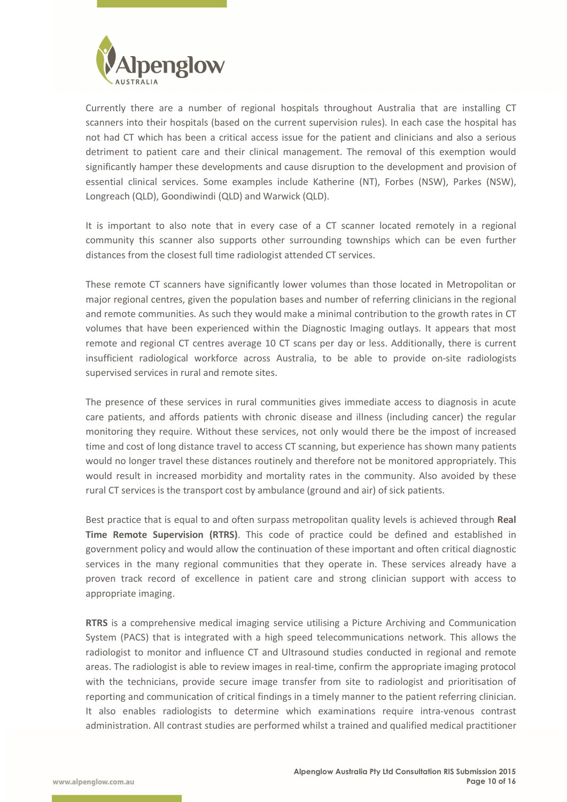

Currently there are a number of regional hospitals throughout Australia that are installing CT scanners into their hospitals (based on the current supervision rules). In each case the hospital has not had CT which has been a critical access issue for the patient and clinicians and also a serious detriment to patient care and their clinical management. The removal of this exemption would significantly hamper these developments and cause disruption to the development and provision of essential clinical services. Some examples include Katherine (NT), Forbes (NSW), Parkes (NSW), Longreach (QLD), Goondiwindi (QLD) and Warwick (QLD).

It is important to also note that in every case of a CT scanner located remotely in a regional community this scanner also supports other surrounding townships which can be even further distances from the closest full time radiologist attended CT services.

These remote CT scanners have significantly lower volumes than those located in Metropolitan or major regional centres, given the population bases and number of referring clinicians in the regional and remote communities. As such they would make a minimal contribution to the growth rates in CT volumes that have been experienced within the Diagnostic Imaging outlays. It appears that most remote and regional CT centres average 10 CT scans per day or less. Additionally, there is current insufficient radiological workforce across Australia, to be able to provide on-site radiologists supervised services in rural and remote sites.

The presence of these services in rural communities gives immediate access to diagnosis in acute care patients, and affords patients with chronic disease and illness (including cancer) the regular monitoring they require. Without these services, not only would there be the impost of increased time and cost of long distance travel to access CT scanning, but experience has shown many patients would no longer travel these distances routinely and therefore not be monitored appropriately. This would result in increased morbidity and mortality rates in the community. Also avoided by these rural CT services is the transport cost by ambulance (ground and air) of sick patients.

Best practice that is equal to and often surpass metropolitan quality levels is achieved through **Real Time Remote Supervision (RTRS)**. This code of practice could be defined and established in government policy and would allow the continuation of these important and often critical diagnostic services in the many regional communities that they operate in. These services already have a proven track record of excellence in patient care and strong clinician support with access to appropriate imaging.

**RTRS** is a comprehensive medical imaging service utilising a Picture Archiving and Communication System (PACS) that is integrated with a high speed telecommunications network. This allows the radiologist to monitor and influence CT and Ultrasound studies conducted in regional and remote areas. The radiologist is able to review images in real-time, confirm the appropriate imaging protocol with the technicians, provide secure image transfer from site to radiologist and prioritisation of reporting and communication of critical findings in a timely manner to the patient referring clinician. It also enables radiologists to determine which examinations require intra-venous contrast administration. All contrast studies are performed whilst a trained and qualified medical practitioner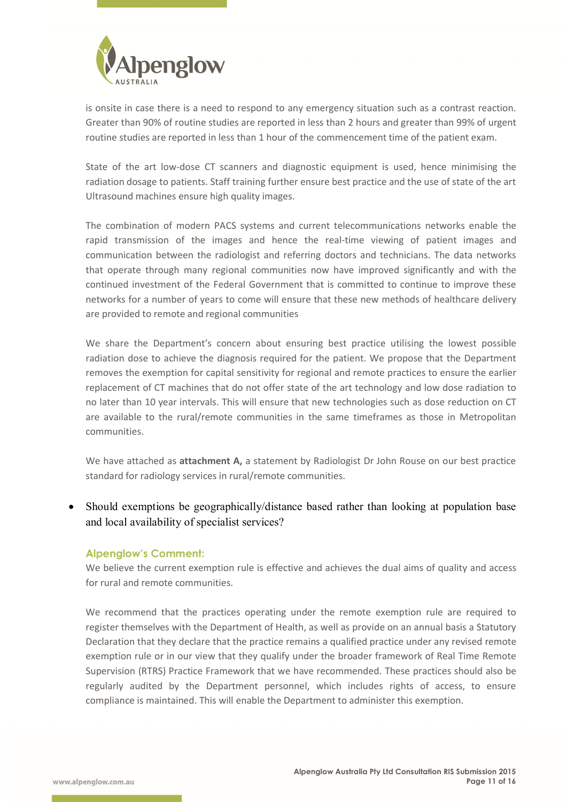

is onsite in case there is a need to respond to any emergency situation such as a contrast reaction. Greater than 90% of routine studies are reported in less than 2 hours and greater than 99% of urgent routine studies are reported in less than 1 hour of the commencement time of the patient exam.

State of the art low-dose CT scanners and diagnostic equipment is used, hence minimising the radiation dosage to patients. Staff training further ensure best practice and the use of state of the art Ultrasound machines ensure high quality images.

The combination of modern PACS systems and current telecommunications networks enable the rapid transmission of the images and hence the real-time viewing of patient images and communication between the radiologist and referring doctors and technicians. The data networks that operate through many regional communities now have improved significantly and with the continued investment of the Federal Government that is committed to continue to improve these networks for a number of years to come will ensure that these new methods of healthcare delivery are provided to remote and regional communities

We share the Department's concern about ensuring best practice utilising the lowest possible radiation dose to achieve the diagnosis required for the patient. We propose that the Department removes the exemption for capital sensitivity for regional and remote practices to ensure the earlier replacement of CT machines that do not offer state of the art technology and low dose radiation to no later than 10 year intervals. This will ensure that new technologies such as dose reduction on CT are available to the rural/remote communities in the same timeframes as those in Metropolitan communities.

We have attached as **attachment A,** a statement by Radiologist Dr John Rouse on our best practice standard for radiology services in rural/remote communities.

 Should exemptions be geographically/distance based rather than looking at population base and local availability of specialist services?

#### **Alpenglow's Comment:**

We believe the current exemption rule is effective and achieves the dual aims of quality and access for rural and remote communities.

We recommend that the practices operating under the remote exemption rule are required to register themselves with the Department of Health, as well as provide on an annual basis a Statutory Declaration that they declare that the practice remains a qualified practice under any revised remote exemption rule or in our view that they qualify under the broader framework of Real Time Remote Supervision (RTRS) Practice Framework that we have recommended. These practices should also be regularly audited by the Department personnel, which includes rights of access, to ensure compliance is maintained. This will enable the Department to administer this exemption.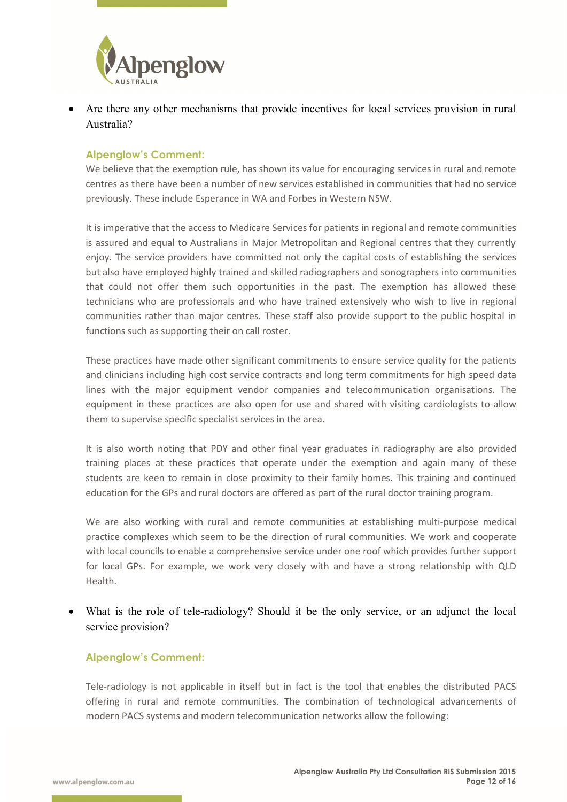

 Are there any other mechanisms that provide incentives for local services provision in rural Australia?

#### **Alpenglow's Comment:**

We believe that the exemption rule, has shown its value for encouraging services in rural and remote centres as there have been a number of new services established in communities that had no service previously. These include Esperance in WA and Forbes in Western NSW.

It is imperative that the access to Medicare Services for patients in regional and remote communities is assured and equal to Australians in Major Metropolitan and Regional centres that they currently enjoy. The service providers have committed not only the capital costs of establishing the services but also have employed highly trained and skilled radiographers and sonographers into communities that could not offer them such opportunities in the past. The exemption has allowed these technicians who are professionals and who have trained extensively who wish to live in regional communities rather than major centres. These staff also provide support to the public hospital in functions such as supporting their on call roster.

These practices have made other significant commitments to ensure service quality for the patients and clinicians including high cost service contracts and long term commitments for high speed data lines with the major equipment vendor companies and telecommunication organisations. The equipment in these practices are also open for use and shared with visiting cardiologists to allow them to supervise specific specialist services in the area.

It is also worth noting that PDY and other final year graduates in radiography are also provided training places at these practices that operate under the exemption and again many of these students are keen to remain in close proximity to their family homes. This training and continued education for the GPs and rural doctors are offered as part of the rural doctor training program.

We are also working with rural and remote communities at establishing multi-purpose medical practice complexes which seem to be the direction of rural communities. We work and cooperate with local councils to enable a comprehensive service under one roof which provides further support for local GPs. For example, we work very closely with and have a strong relationship with QLD Health.

 What is the role of tele-radiology? Should it be the only service, or an adjunct the local service provision?

### **Alpenglow's Comment:**

Tele-radiology is not applicable in itself but in fact is the tool that enables the distributed PACS offering in rural and remote communities. The combination of technological advancements of modern PACS systems and modern telecommunication networks allow the following: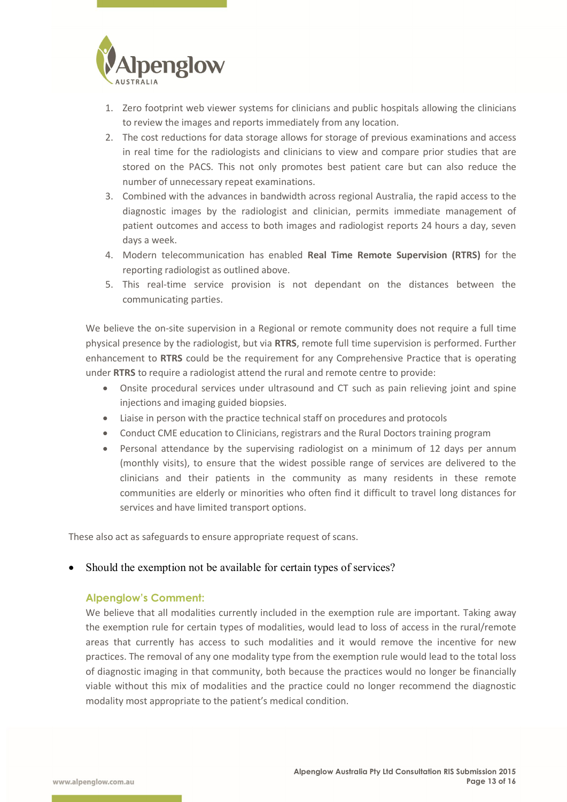

- 1. Zero footprint web viewer systems for clinicians and public hospitals allowing the clinicians to review the images and reports immediately from any location.
- 2. The cost reductions for data storage allows for storage of previous examinations and access in real time for the radiologists and clinicians to view and compare prior studies that are stored on the PACS. This not only promotes best patient care but can also reduce the number of unnecessary repeat examinations.
- 3. Combined with the advances in bandwidth across regional Australia, the rapid access to the diagnostic images by the radiologist and clinician, permits immediate management of patient outcomes and access to both images and radiologist reports 24 hours a day, seven days a week.
- 4. Modern telecommunication has enabled **Real Time Remote Supervision (RTRS)** for the reporting radiologist as outlined above.
- 5. This real-time service provision is not dependant on the distances between the communicating parties.

We believe the on-site supervision in a Regional or remote community does not require a full time physical presence by the radiologist, but via **RTRS**, remote full time supervision is performed. Further enhancement to **RTRS** could be the requirement for any Comprehensive Practice that is operating under **RTRS** to require a radiologist attend the rural and remote centre to provide:

- Onsite procedural services under ultrasound and CT such as pain relieving joint and spine injections and imaging guided biopsies.
- Liaise in person with the practice technical staff on procedures and protocols
- Conduct CME education to Clinicians, registrars and the Rural Doctors training program
- Personal attendance by the supervising radiologist on a minimum of 12 days per annum (monthly visits), to ensure that the widest possible range of services are delivered to the clinicians and their patients in the community as many residents in these remote communities are elderly or minorities who often find it difficult to travel long distances for services and have limited transport options.

These also act as safeguards to ensure appropriate request of scans.

#### Should the exemption not be available for certain types of services?

#### **Alpenglow's Comment:**

We believe that all modalities currently included in the exemption rule are important. Taking away the exemption rule for certain types of modalities, would lead to loss of access in the rural/remote areas that currently has access to such modalities and it would remove the incentive for new practices. The removal of any one modality type from the exemption rule would lead to the total loss of diagnostic imaging in that community, both because the practices would no longer be financially viable without this mix of modalities and the practice could no longer recommend the diagnostic modality most appropriate to the patient's medical condition.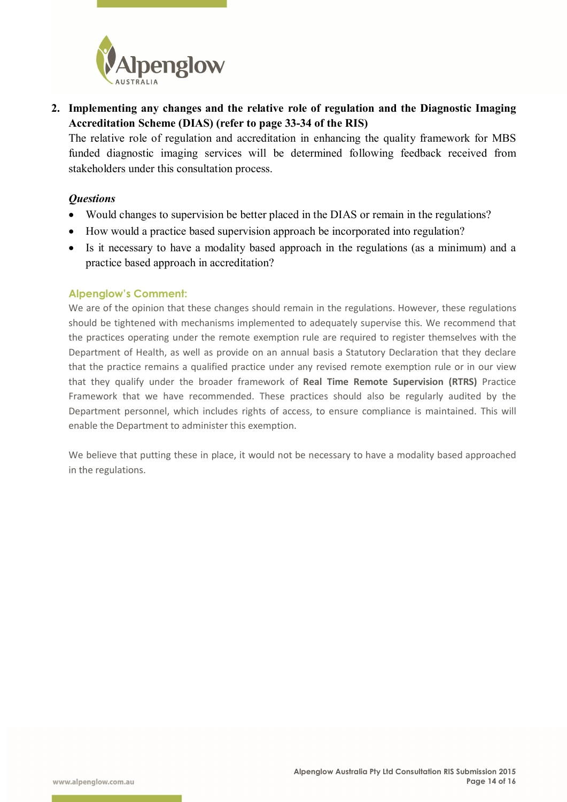

**2. Implementing any changes and the relative role of regulation and the Diagnostic Imaging Accreditation Scheme (DIAS) (refer to page 33-34 of the RIS)** 

The relative role of regulation and accreditation in enhancing the quality framework for MBS funded diagnostic imaging services will be determined following feedback received from stakeholders under this consultation process.

### *Questions*

- Would changes to supervision be better placed in the DIAS or remain in the regulations?
- How would a practice based supervision approach be incorporated into regulation?
- Is it necessary to have a modality based approach in the regulations (as a minimum) and a practice based approach in accreditation?

### **Alpenglow's Comment:**

We are of the opinion that these changes should remain in the regulations. However, these regulations should be tightened with mechanisms implemented to adequately supervise this. We recommend that the practices operating under the remote exemption rule are required to register themselves with the Department of Health, as well as provide on an annual basis a Statutory Declaration that they declare that the practice remains a qualified practice under any revised remote exemption rule or in our view that they qualify under the broader framework of **Real Time Remote Supervision (RTRS)** Practice Framework that we have recommended. These practices should also be regularly audited by the Department personnel, which includes rights of access, to ensure compliance is maintained. This will enable the Department to administer this exemption.

We believe that putting these in place, it would not be necessary to have a modality based approached in the regulations.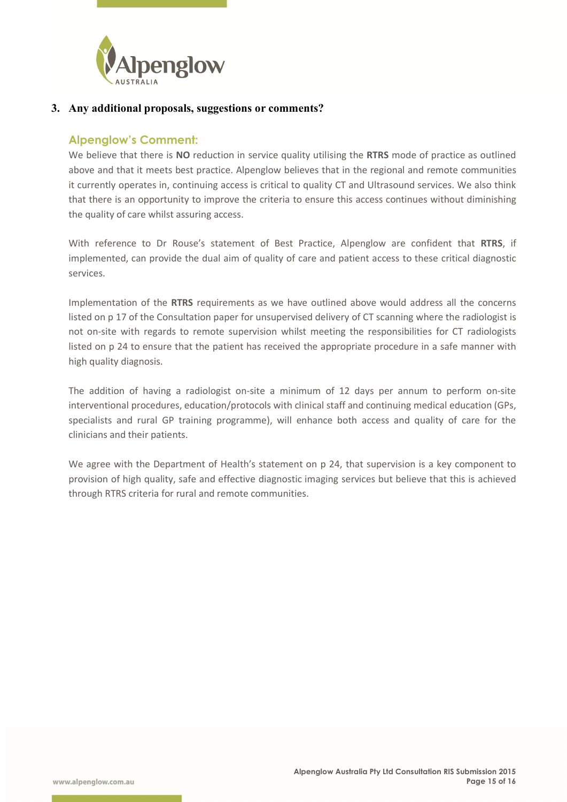

#### **3. Any additional proposals, suggestions or comments?**

## **Alpenglow's Comment:**

We believe that there is **NO** reduction in service quality utilising the **RTRS** mode of practice as outlined above and that it meets best practice. Alpenglow believes that in the regional and remote communities it currently operates in, continuing access is critical to quality CT and Ultrasound services. We also think that there is an opportunity to improve the criteria to ensure this access continues without diminishing the quality of care whilst assuring access.

With reference to Dr Rouse's statement of Best Practice, Alpenglow are confident that **RTRS**, if implemented, can provide the dual aim of quality of care and patient access to these critical diagnostic services.

Implementation of the **RTRS** requirements as we have outlined above would address all the concerns listed on p 17 of the Consultation paper for unsupervised delivery of CT scanning where the radiologist is not on-site with regards to remote supervision whilst meeting the responsibilities for CT radiologists listed on p 24 to ensure that the patient has received the appropriate procedure in a safe manner with high quality diagnosis.

The addition of having a radiologist on-site a minimum of 12 days per annum to perform on-site interventional procedures, education/protocols with clinical staff and continuing medical education (GPs, specialists and rural GP training programme), will enhance both access and quality of care for the clinicians and their patients.

We agree with the Department of Health's statement on p 24, that supervision is a key component to provision of high quality, safe and effective diagnostic imaging services but believe that this is achieved through RTRS criteria for rural and remote communities.